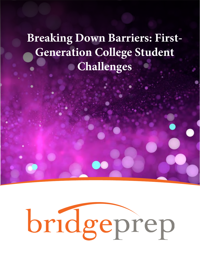## **Breaking Down Barriers: First-Generation College Student Challenges**

# bridgeprep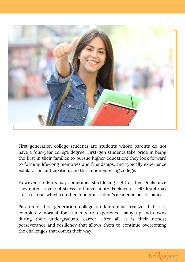

First-generation college students are students whose parents do not have a four-year college degree. First-gen students take pride in being the first in their families to pursue higher education; they look forward to forming life-long memories and friendships, and typically experience exhilaration, anticipation, and thrill upon entering college.

However, students may sometimes start losing sight of their goals once they enter a cycle of stress and uncertainty. Feelings of self-doubt may start to arise, which can then hinder a student's academic performance.

Parents of first-generation college students must realize that it is completely normal for students to experience many up-and-downs during their undergraduate career; after all, it is their utmost perseverance and resiliency that allows them to continue overcoming the challenges that comes their way.

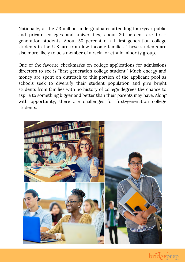Nationally, of the 7.3 million undergraduates attending four-year public and private colleges and universities, about 20 percent are firstgeneration students. About 50 percent of all first-generation college students in the U.S. are from low-income families. These students are also more likely to be a member of a racial or ethnic minority group.

One of the favorite checkmarks on college applications for admissions directors to see is "first-generation college student." Much energy and money are spent on outreach to this portion of the applicant pool as schools seek to diversify their student population and give bright students from families with no history of college degrees the chance to aspire to something bigger and better than their parents may have. Along with opportunity, there are challenges for first-generation college students.



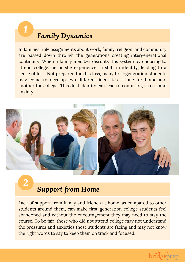### *Family Dynamics*

In families, role assignments about work, family, religion, and community are passed down through the generations creating intergenerational continuity. When a family member disrupts this system by choosing to attend college, he or she experiences a shift in identity, leading to a sense of loss. Not prepared for this loss, many first-generation students may come to develop two different identities — one for home and another for college. This dual identity can lead to confusion, stress, and anxiety.



*2*

*1*

#### *Support from Home*

Lack of support from family and friends at home, as compared to other students around them, can make first-generation college students feel abandoned and without the encouragement they may need to stay the course. To be fair, those who did not attend college may not understand the pressures and anxieties these students are facing and may not know the right words to say to keep them on track and focused.

#### bridgeprep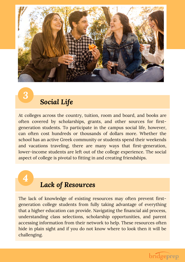

*3*

*4*

#### *Social Life*

At colleges across the country, tuition, room and board, and books are often covered by scholarships, grants, and other sources for firstgeneration students. To participate in the campus social life, however, can often cost hundreds or thousands of dollars more. Whether the school has an active Greek community or students spend their weekends and vacations traveling, there are many ways that first-generation, lower-income students are left out of the college experience. The social aspect of college is pivotal to fitting in and creating friendships.

## *Lack of Resources*

The lack of knowledge of existing resources may often prevent firstgeneration college students from fully taking advantage of everything that a higher education can provide. Navigating the financial aid process, understanding class selections, scholarship opportunities, and parent accessing information from their network to help. These resources often hide in plain sight and if you do not know where to look then it will be challenging.